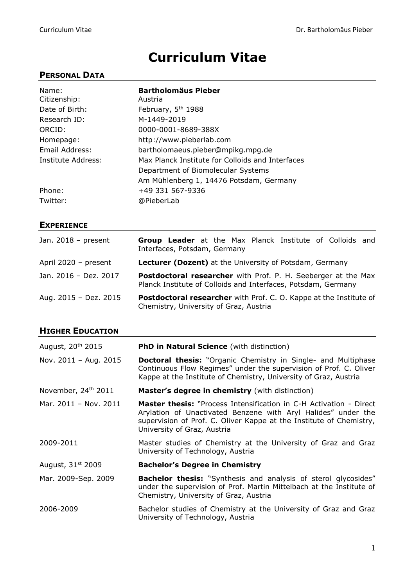# **Curriculum Vitae**

## **PERSONAL DATA**

| Name:<br>Citizenship: | <b>Bartholomäus Pieber</b><br>Austria            |
|-----------------------|--------------------------------------------------|
| Date of Birth:        | February, 5 <sup>th</sup> 1988                   |
| Research ID:          | M-1449-2019                                      |
| ORCID:                | 0000-0001-8689-388X                              |
| Homepage:             | http://www.pieberlab.com                         |
| Email Address:        | bartholomaeus.pieber@mpikg.mpg.de                |
| Institute Address:    | Max Planck Institute for Colloids and Interfaces |
|                       | Department of Biomolecular Systems               |
|                       | Am Mühlenberg 1, 14476 Potsdam, Germany          |
| Phone:                | +49 331 567-9336                                 |
| Twitter:              | @PieberLab                                       |

## **EXPERIENCE**

| Jan. $2018$ – present  | Group Leader at the Max Planck Institute of Colloids and<br>Interfaces, Potsdam, Germany                                       |
|------------------------|--------------------------------------------------------------------------------------------------------------------------------|
| April $2020 - present$ | Lecturer (Dozent) at the University of Potsdam, Germany                                                                        |
| Jan. 2016 - Dez. 2017  | Postdoctoral researcher with Prof. P. H. Seeberger at the Max<br>Planck Institute of Colloids and Interfaces, Potsdam, Germany |
| Aug. 2015 - Dez. 2015  | <b>Postdoctoral researcher</b> with Prof. C. O. Kappe at the Institute of<br>Chemistry, University of Graz, Austria            |

## **HIGHER EDUCATION**

| August, 20 <sup>th</sup> 2015   | <b>PhD in Natural Science</b> (with distinction)                                                                                                                                                                                                 |  |
|---------------------------------|--------------------------------------------------------------------------------------------------------------------------------------------------------------------------------------------------------------------------------------------------|--|
| Nov. 2011 - Aug. 2015           | <b>Doctoral thesis:</b> "Organic Chemistry in Single- and Multiphase<br>Continuous Flow Regimes" under the supervision of Prof. C. Oliver<br>Kappe at the Institute of Chemistry, University of Graz, Austria                                    |  |
| November, 24 <sup>th</sup> 2011 | <b>Master's degree in chemistry</b> (with distinction)                                                                                                                                                                                           |  |
| Mar. $2011 - Nov. 2011$         | <b>Master thesis:</b> "Process Intensification in C-H Activation - Direct<br>Arylation of Unactivated Benzene with Aryl Halides" under the<br>supervision of Prof. C. Oliver Kappe at the Institute of Chemistry,<br>University of Graz, Austria |  |
| 2009-2011                       | Master studies of Chemistry at the University of Graz and Graz<br>University of Technology, Austria                                                                                                                                              |  |
| August, 31 <sup>st</sup> 2009   | <b>Bachelor's Degree in Chemistry</b>                                                                                                                                                                                                            |  |
| Mar. 2009-Sep. 2009             | <b>Bachelor thesis:</b> "Synthesis and analysis of sterol glycosides"<br>under the supervision of Prof. Martin Mittelbach at the Institute of<br>Chemistry, University of Graz, Austria                                                          |  |
| 2006-2009                       | Bachelor studies of Chemistry at the University of Graz and Graz<br>University of Technology, Austria                                                                                                                                            |  |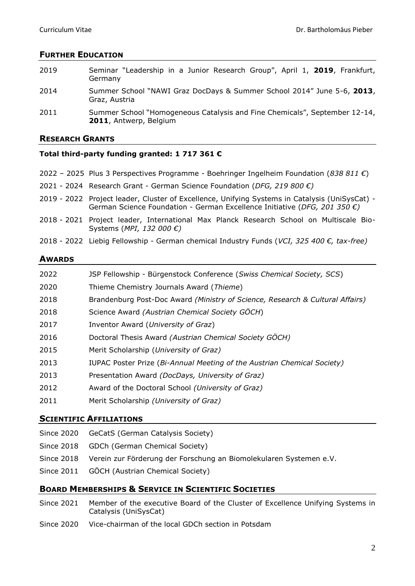#### **FURTHER EDUCATION**

| 2019 | Seminar "Leadership in a Junior Research Group", April 1, 2019, Frankfurt,<br>Germany                |
|------|------------------------------------------------------------------------------------------------------|
| 2014 | Summer School "NAWI Graz DocDays & Summer School 2014" June 5-6, 2013,<br>Graz, Austria              |
| 2011 | Summer School "Homogeneous Catalysis and Fine Chemicals", September 12-14,<br>2011, Antwerp, Belgium |

#### **RESEARCH GRANTS**

#### **Total third-party funding granted: 1 717 361 €**

- 2022 2025 Plus 3 Perspectives Programme Boehringer Ingelheim Foundation (*838 811 €*)
- 2021 2024 Research Grant German Science Foundation (*DFG, 219 800 €)*
- 2019 2022 Project leader, Cluster of Excellence, Unifying Systems in Catalysis (UniSysCat) German Science Foundation - German Excellence Initiative (*DFG, 201 350 €)*
- 2018 2021 Project leader, International Max Planck Research School on Multiscale Bio-Systems (*MPI, 132 000 €)*
- 2018 2022 Liebig Fellowship German chemical Industry Funds (*VCI, 325 400 €, tax-free)*

#### **AWARDS**

| 2022 | JSP Fellowship - Bürgenstock Conference (Swiss Chemical Society, SCS)         |
|------|-------------------------------------------------------------------------------|
| 2020 | Thieme Chemistry Journals Award (Thieme)                                      |
| 2018 | Brandenburg Post-Doc Award (Ministry of Science, Research & Cultural Affairs) |
| 2018 | Science Award (Austrian Chemical Society GÖCH)                                |
| 2017 | Inventor Award (University of Graz)                                           |
| 2016 | Doctoral Thesis Award (Austrian Chemical Society GÖCH)                        |
| 2015 | Merit Scholarship (University of Graz)                                        |
| 2013 | IUPAC Poster Prize (Bi-Annual Meeting of the Austrian Chemical Society)       |
| 2013 | Presentation Award (DocDays, University of Graz)                              |
| 2012 | Award of the Doctoral School (University of Graz)                             |
| 2011 | Merit Scholarship (University of Graz)                                        |
|      |                                                                               |

#### **SCIENTIFIC AFFILIATIONS**

- Since 2020 GeCatS (German Catalysis Society)
- Since 2018 GDCh (German Chemical Society)
- Since 2018 Verein zur Förderung der Forschung an Biomolekularen Systemen e.V.
- Since 2011 GÖCH (Austrian Chemical Society)

#### **BOARD MEMBERSHIPS & SERVICE IN SCIENTIFIC SOCIETIES**

- Since 2021 Member of the executive Board of the Cluster of Excellence Unifying Systems in Catalysis (UniSysCat)
- Since 2020 Vice-chairman of the local GDCh section in Potsdam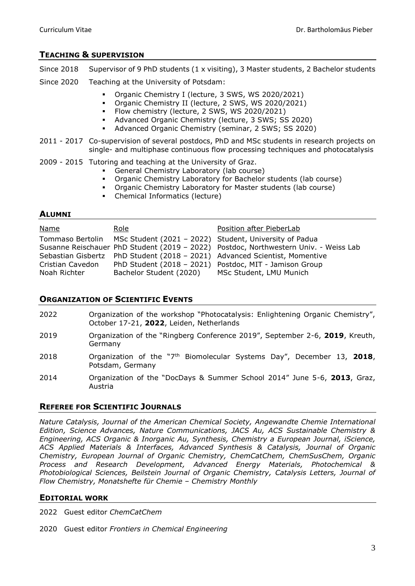## **TEACHING & SUPERVISION**

- Since 2018 Supervisor of 9 PhD students (1 x visiting), 3 Master students, 2 Bachelor students
- Since 2020 Teaching at the University of Potsdam:
	- Organic Chemistry I (lecture, 3 SWS, WS 2020/2021)
	- Organic Chemistry II (lecture, 2 SWS, WS 2020/2021)
	- Flow chemistry (lecture, 2 SWS, WS 2020/2021)
	- Advanced Organic Chemistry (lecture, 3 SWS; SS 2020)
	- Advanced Organic Chemistry (seminar, 2 SWS; SS 2020)
- 2011 2017 Co-supervision of several postdocs, PhD and MSc students in research projects on single- and multiphase continuous flow processing techniques and photocatalysis
- 2009 2015 Tutoring and teaching at the University of Graz.
	- General Chemistry Laboratory (lab course)
	- Organic Chemistry Laboratory for Bachelor students (lab course)
	- Organic Chemistry Laboratory for Master students (lab course)
	- Chemical Informatics (lecture)

#### **ALUMNI**

| <b>Name</b>      | Role                                                                    | Position after PieberLab                                                             |
|------------------|-------------------------------------------------------------------------|--------------------------------------------------------------------------------------|
|                  | Tommaso Bertolin MSc Student (2021 - 2022) Student, University of Padua |                                                                                      |
|                  |                                                                         | Susanne Reischauer PhD Student (2019 - 2022) Postdoc, Northwestern Univ. - Weiss Lab |
|                  |                                                                         | Sebastian Gisbertz PhD Student (2018 - 2021) Advanced Scientist, Momentive           |
| Cristian Cavedon |                                                                         | PhD Student (2018 - 2021) Postdoc, MIT - Jamison Group                               |
| Noah Richter     | Bachelor Student (2020)                                                 | MSc Student, LMU Munich                                                              |

## **ORGANIZATION OF SCIENTIFIC EVENTS**

- 2022 Organization of the workshop "Photocatalysis: Enlightening Organic Chemistry", October 17-21, **2022**, Leiden, Netherlands
- 2019 Organization of the "Ringberg Conference 2019", September 2-6, **2019**, Kreuth, Germany
- 2018 Organization of the "7th Biomolecular Systems Day", December 13, **2018**, Potsdam, Germany
- 2014 Organization of the "DocDays & Summer School 2014" June 5-6, **2013**, Graz, Austria

## **REFEREE FOR SCIENTIFIC JOURNALS**

*Nature Catalysis, Journal of the American Chemical Society, Angewandte Chemie International Edition, Science Advances, Nature Communications, JACS Au, ACS Sustainable Chemistry & Engineering, ACS Organic & Inorganic Au, Synthesis, Chemistry a European Journal, iScience, ACS Applied Materials & Interfaces, Advanced Synthesis & Catalysis, Journal of Organic Chemistry, European Journal of Organic Chemistry, ChemCatChem, ChemSusChem, Organic Process and Research Development, Advanced Energy Materials, Photochemical & Photobiological Sciences, Beilstein Journal of Organic Chemistry, Catalysis Letters, Journal of Flow Chemistry, Monatshefte für Chemie – Chemistry Monthly*

#### **EDITORIAL WORK**

2022 Guest editor *ChemCatChem*

2020 Guest editor *Frontiers in Chemical Engineering*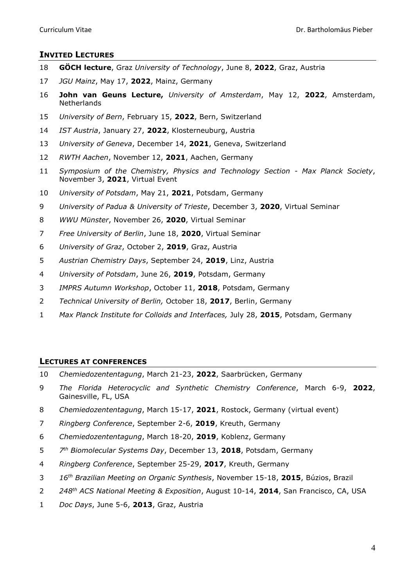## **INVITED LECTURES**

- **GÖCH lecture**, Graz *University of Technology*, June 8, **2022**, Graz, Austria
- *JGU Mainz*, May 17, **2022**, Mainz, Germany
- **John van Geuns Lecture,** *University of Amsterdam*, May 12, **2022**, Amsterdam, **Netherlands**
- *University of Bern*, February 15, **2022**, Bern, Switzerland
- *IST Austria*, January 27, **2022**, Klosterneuburg, Austria
- *University of Geneva*, December 14, **2021**, Geneva, Switzerland
- *RWTH Aachen*, November 12, **2021**, Aachen, Germany
- *Symposium of the Chemistry, Physics and Technology Section - Max Planck Society*, November 3, **2021**, Virtual Event
- *University of Potsdam*, May 21, **2021**, Potsdam, Germany
- *University of Padua & University of Trieste*, December 3, **2020**, Virtual Seminar
- *WWU Münster*, November 26, **2020**, Virtual Seminar
- *Free University of Berlin*, June 18, **2020**, Virtual Seminar
- *University of Graz*, October 2, **2019**, Graz, Austria
- *Austrian Chemistry Days*, September 24, **2019**, Linz, Austria
- *University of Potsdam*, June 26, **2019**, Potsdam, Germany
- *IMPRS Autumn Workshop*, October 11, **2018**, Potsdam, Germany
- *Technical University of Berlin,* October 18, **2017**, Berlin, Germany
- *Max Planck Institute for Colloids and Interfaces,* July 28, **2015**, Potsdam, Germany

## **LECTURES AT CONFERENCES**

- *Chemiedozententagung*, March 21-23, **2022**, Saarbrücken, Germany
- *The Florida Heterocyclic and Synthetic Chemistry Conference*, March 6-9, **2022**, Gainesville, FL, USA
- *Chemiedozententagung*, March 15-17, **2021**, Rostock, Germany (virtual event)
- *Ringberg Conference*, September 2-6, **2019**, Kreuth, Germany
- *Chemiedozententagung*, March 18-20, **2019**, Koblenz, Germany
- *7 th Biomolecular Systems Day*, December 13, **2018**, Potsdam, Germany
- *Ringberg Conference*, September 25-29, **2017**, Kreuth, Germany
- *16th Brazilian Meeting on Organic Synthesis*, November 15-18, **2015**, Búzios, Brazil
- *248th ACS National Meeting & Exposition*, August 10-14, **2014**, San Francisco, CA, USA
- *Doc Days*, June 5-6, **2013**, Graz, Austria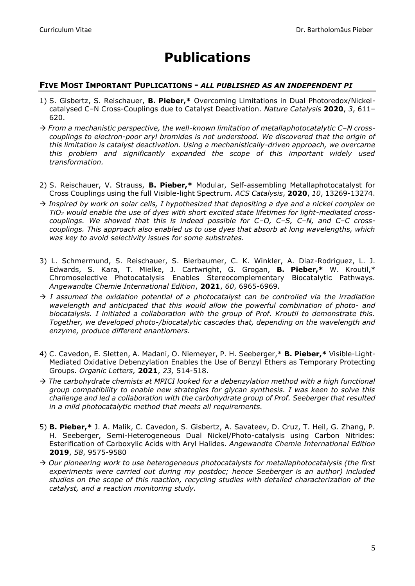# **Publications**

## **FIVE MOST IMPORTANT PUPLICATIONS -** *ALL PUBLISHED AS AN INDEPENDENT PI*

- 1) S. Gisbertz, S. Reischauer, **B. Pieber,\*** Overcoming Limitations in Dual Photoredox/Nickelcatalysed C–N Cross-Couplings due to Catalyst Deactivation. *Nature Catalysis* **2020**, *3*, 611– 620.
- → *From a mechanistic perspective, the well-known limitation of metallaphotocatalytic C–N crosscouplings to electron-poor aryl bromides is not understood. We discovered that the origin of this limitation is catalyst deactivation. Using a mechanistically-driven approach, we overcame this problem and significantly expanded the scope of this important widely used transformation.*
- 2) S. Reischauer, V. Strauss, **B. Pieber,\*** Modular, Self-assembling Metallaphotocatalyst for Cross Couplings using the full Visible-light Spectrum*. ACS Catalysis*, **2020**, *10*, 13269-13274.
- → *Inspired by work on solar cells, I hypothesized that depositing a dye and a nickel complex on TiO<sup>2</sup> would enable the use of dyes with short excited state lifetimes for light-mediated crosscouplings. We showed that this is indeed possible for C–O, C–S, C–N, and C–C crosscouplings. This approach also enabled us to use dyes that absorb at long wavelengths, which was key to avoid selectivity issues for some substrates.*
- 3) L. Schmermund, S. Reischauer, S. Bierbaumer, C. K. Winkler, A. Diaz-Rodriguez, L. J. Edwards, S. Kara, T. Mielke, J. Cartwright, G. Grogan, **B. Pieber,\*** W. Kroutil,\* Chromoselective Photocatalysis Enables Stereocomplementary Biocatalytic Pathways. *Angewandte Chemie International Edition*, **2021**, *60*, 6965-6969*.*
- → *I assumed the oxidation potential of a photocatalyst can be controlled via the irradiation wavelength and anticipated that this would allow the powerful combination of photo- and biocatalysis. I initiated a collaboration with the group of Prof. Kroutil to demonstrate this. Together, we developed photo-/biocatalytic cascades that, depending on the wavelength and enzyme, produce different enantiomers.*
- 4) C. Cavedon, E. Sletten, A. Madani, O. Niemeyer, P. H. Seeberger,\* **B. Pieber,\*** Visible-Light-Mediated Oxidative Debenzylation Enables the Use of Benzyl Ethers as Temporary Protecting Groups. *Organic Letters,* **2021**, *23,* 514-518.
- → *The carbohydrate chemists at MPICI looked for a debenzylation method with a high functional group compatibility to enable new strategies for glycan synthesis. I was keen to solve this challenge and led a collaboration with the carbohydrate group of Prof. Seeberger that resulted in a mild photocatalytic method that meets all requirements.*
- 5) **B. Pieber,\*** J. A. Malik, C. Cavedon, S. Gisbertz, A. Savateev, D. Cruz, T. Heil, G. Zhang, P. H. Seeberger, Semi-Heterogeneous Dual Nickel/Photo-catalysis using Carbon Nitrides: Esterification of Carboxylic Acids with Aryl Halides. *Angewandte Chemie International Edition*  **2019**, *58*, 9575-9580
- → *Our pioneering work to use heterogeneous photocatalysts for metallaphotocatalysis (the first experiments were carried out during my postdoc; hence Seeberger is an author) included studies on the scope of this reaction, recycling studies with detailed characterization of the catalyst, and a reaction monitoring study.*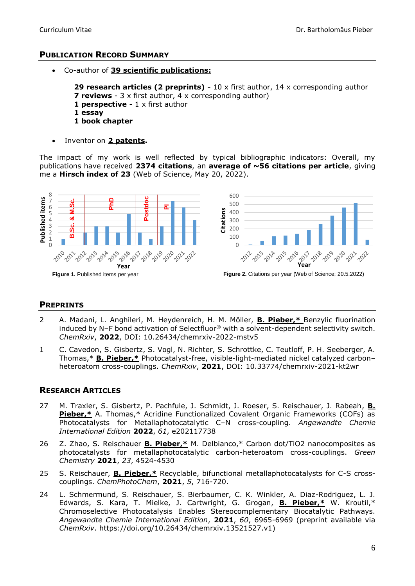## **PUBLICATION RECORD SUMMARY**

• Co-author of **39 scientific publications:**

**29 research articles (2 preprints) -** 10 x first author, 14 x corresponding author **7 reviews** - 3 x first author, 4 x corresponding author) **1 perspective** - 1 x first author **1 essay 1 book chapter**

• Inventor on **2 patents.**

The impact of my work is well reflected by typical bibliographic indicators: Overall, my publications have received **2374 citations**, an **average of ~56 citations per article**, giving me a **Hirsch index of 23** (Web of Science, May 20, 2022).



#### **PREPRINTS**

- 2 A. Madani, L. Anghileri, M. Heydenreich, H. M. Möller, **B. Pieber,\*** Benzylic fluorination induced by N–F bond activation of Selectfluor® with a solvent-dependent selectivity switch. *ChemRxiv*, **2022**, DOI: 10.26434/chemrxiv-2022-mstv5
- 1 C. Cavedon, S. Gisbertz, S. Vogl, N. Richter, S. Schrottke, C. Teutloff, P. H. Seeberger, A. Thomas,\* **B. Pieber,\*** Photocatalyst-free, visible-light-mediated nickel catalyzed carbon– heteroatom cross-couplings. *ChemRxiv*, **2021**, DOI: 10.33774/chemrxiv-2021-kt2wr

## **RESEARCH ARTICLES**

- 27 M. Traxler, S. Gisbertz, P. Pachfule, J. Schmidt, J. Roeser, S. Reischauer, J. Rabeah, **B. Pieber,\*** A. Thomas,\* Acridine Functionalized Covalent Organic Frameworks (COFs) as Photocatalysts for Metallaphotocatalytic C–N cross-coupling. *Angewandte Chemie International Edition* **2022**, *61*, e202117738
- 26 Z. Zhao, S. Reischauer **B. Pieber,\*** M. Delbianco,\* Carbon dot/TiO2 nanocomposites as photocatalysts for metallaphotocatalytic carbon-heteroatom cross-couplings. *Green Chemistry* **2021**, *23*, 4524-4530
- 25 S. Reischauer, **B. Pieber,\*** Recyclable, bifunctional metallaphotocatalysts for C-S crosscouplings. *ChemPhotoChem*, **2021**, *5*, 716-720.
- 24 L. Schmermund, S. Reischauer, S. Bierbaumer, C. K. Winkler, A. Diaz-Rodriguez, L. J. Edwards, S. Kara, T. Mielke, J. Cartwright, G. Grogan, **B. Pieber,\*** W. Kroutil,\* Chromoselective Photocatalysis Enables Stereocomplementary Biocatalytic Pathways. *Angewandte Chemie International Edition*, **2021**, *60*, 6965-6969 (preprint available via *ChemRxiv*. https://doi.org/10.26434/chemrxiv.13521527.v1)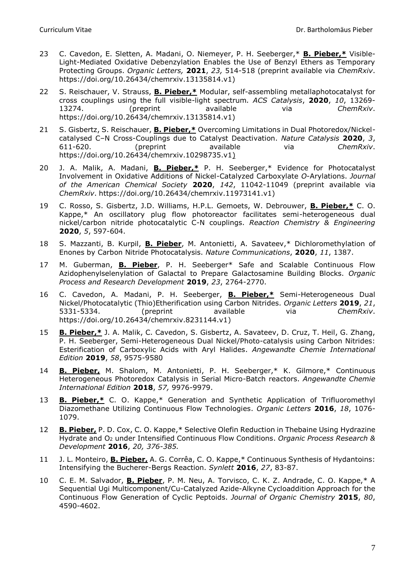- 23 C. Cavedon, E. Sletten, A. Madani, O. Niemeyer, P. H. Seeberger,\* **B. Pieber,\*** Visible-Light-Mediated Oxidative Debenzylation Enables the Use of Benzyl Ethers as Temporary Protecting Groups. *Organic Letters,* **2021**, *23,* 514-518 (preprint available via *ChemRxiv*. https://doi.org/10.26434/chemrxiv.13135814.v1)
- 22 S. Reischauer, V. Strauss, **B. Pieber,\*** Modular, self-assembling metallaphotocatalyst for cross couplings using the full visible-light spectrum*. ACS Catalysis*, **2020**, *10*, 13269- 13274. (preprint available via *ChemRxiv*. https://doi.org/10.26434/chemrxiv.13135814.v1)
- 21 S. Gisbertz, S. Reischauer, **B. Pieber,\*** Overcoming Limitations in Dual Photoredox/Nickelcatalysed C–N Cross-Couplings due to Catalyst Deactivation. *Nature Catalysis* **2020**, *3*, 611-620. (preprint available via *ChemRxiv*. https://doi.org/10.26434/chemrxiv.10298735.v1)
- 20 J. A. Malik, A. Madani, **B. Pieber,\*** P. H. Seeberger,\* Evidence for Photocatalyst Involvement in Oxidative Additions of Nickel-Catalyzed Carboxylate *O*-Arylations. *Journal of the American Chemical Society* **2020**, *142*, 11042-11049 (preprint available via *ChemRxiv*. https://doi.org/10.26434/chemrxiv.11973141.v1)
- 19 C. Rosso, S. Gisbertz, J.D. Williams, H.P.L. Gemoets, W. Debrouwer, **B. Pieber,\*** C. O. Kappe,\* An oscillatory plug flow photoreactor facilitates semi-heterogeneous dual nickel/carbon nitride photocatalytic C-N couplings. *Reaction Chemistry & Engineering* **2020**, *5*, 597-604.
- 18 S. Mazzanti, B. Kurpil, **B. Pieber**, M. Antonietti, A. Savateev,\* Dichloromethylation of Enones by Carbon Nitride Photocatalysis. *Nature Communications*, **2020**, *11*, 1387.
- 17 M. Guberman, **B. Pieber**, P. H. Seeberger\* Safe and Scalable Continuous Flow Azidophenylselenylation of Galactal to Prepare Galactosamine Building Blocks. *Organic Process and Research Development* **2019**, *23*, 2764-2770.
- 16 C. Cavedon, A. Madani, P. H. Seeberger, **B. Pieber,\*** Semi-Heterogeneous Dual Nickel/Photocatalytic (Thio)Etherification using Carbon Nitrides. *Organic Letters* **2019**, *21*, 5331-5334. (preprint available via *ChemRxiv*. https://doi.org/10.26434/chemrxiv.8231144.v1)
- 15 **B. Pieber,\*** J. A. Malik, C. Cavedon, S. Gisbertz, A. Savateev, D. Cruz, T. Heil, G. Zhang, P. H. Seeberger, Semi-Heterogeneous Dual Nickel/Photo-catalysis using Carbon Nitrides: Esterification of Carboxylic Acids with Aryl Halides. *Angewandte Chemie International Edition* **2019**, *58*, 9575-9580
- 14 **B. Pieber,** M. Shalom, M. Antonietti, P. H. Seeberger,\* K. Gilmore,\* Continuous Heterogeneous Photoredox Catalysis in Serial Micro-Batch reactors. *Angewandte Chemie International Edition* **2018**, *57,* 9976-9979.
- 13 **B. Pieber,\*** C. O. Kappe,\* Generation and Synthetic Application of Trifluoromethyl Diazomethane Utilizing Continuous Flow Technologies. *Organic Letters* **2016**, *18*, 1076- 1079.
- 12 **B. Pieber,** P. D. Cox, C. O. Kappe,\* Selective Olefin Reduction in Thebaine Using Hydrazine Hydrate and O<sup>2</sup> under Intensified Continuous Flow Conditions. *Organic Process Research & Development* **2016**, *20, 376-385.*
- 11 J. L. Monteiro, **B. Pieber,** A. G. Corrêa, C. O. Kappe,\* Continuous Synthesis of Hydantoins: Intensifying the Bucherer-Bergs Reaction. *Synlett* **2016**, *27*, 83-87.
- 10 C. E. M. Salvador, **B. Pieber**, P. M. Neu, A. Torvisco, C. K. Z. Andrade, C. O. Kappe,\* A Sequential Ugi Multicomponent/Cu-Catalyzed Azide-Alkyne Cycloaddition Approach for the Continuous Flow Generation of Cyclic Peptoids. *Journal of Organic Chemistry* **2015**, *80*, 4590-4602.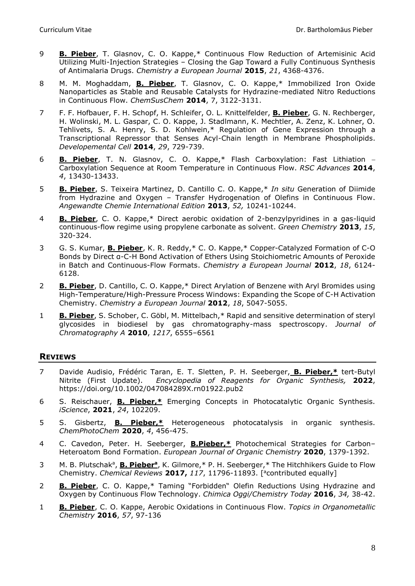- 9 **B. Pieber**, T. Glasnov, C. O. Kappe,\* Continuous Flow Reduction of Artemisinic Acid Utilizing Multi-Injection Strategies – Closing the Gap Toward a Fully Continuous Synthesis of Antimalaria Drugs. *Chemistry a European Journal* **2015**, *21*, 4368-4376.
- 8 M. M. Moghaddam, **B. Pieber**, T. Glasnov, C. O. Kappe,\* Immobilized Iron Oxide Nanoparticles as Stable and Reusable Catalysts for Hydrazine-mediated Nitro Reductions in Continuous Flow. *ChemSusChem* **2014**, 7, 3122-3131.
- 7 F. F. Hofbauer, F. H. Schopf, H. Schleifer, O. L. Knittelfelder, **B. Pieber**, G. N. Rechberger, H. Wolinski, M. L. Gaspar, C. O. Kappe, J. Stadlmann, K. Mechtler, A. Zenz, K. Lohner, O. Tehlivets, S. A. Henry, S. D. Kohlwein,\* Regulation of Gene Expression through a Transcriptional Repressor that Senses Acyl-Chain length in Membrane Phospholipids. *Developemental Cell* **2014**, *29*, 729-739.
- 6 **B. Pieber**, T. N. Glasnov, C. O. Kappe,\* Flash Carboxylation: Fast Lithiation − Carboxylation Sequence at Room Temperature in Continuous Flow. *RSC Advances* **2014**, *4*, 13430-13433.
- 5 **B. Pieber**, S. Teixeira Martinez, D. Cantillo C. O. Kappe,\* *In situ* Generation of Diimide from Hydrazine and Oxygen – Transfer Hydrogenation of Olefins in Continuous Flow. *Angewandte Chemie International Edition* **2013**, *52,* 10241-10244.
- 4 **B. Pieber**, C. O. Kappe,\* Direct aerobic oxidation of 2-benzylpyridines in a gas-liquid continuous-flow regime using propylene carbonate as solvent. *Green Chemistry* **2013**, *15*, 320-324.
- 3 G. S. Kumar, **B. Pieber**, K. R. Reddy,\* C. O. Kappe,\* Copper-Catalyzed Formation of C-O Bonds by Direct α-C-H Bond Activation of Ethers Using Stoichiometric Amounts of Peroxide in Batch and Continuous-Flow Formats. *Chemistry a European Journal* **2012**, *18*, 6124- 6128.
- 2 **B. Pieber**, D. Cantillo, C. O. Kappe,\* Direct Arylation of Benzene with Aryl Bromides using High-Temperature/High-Pressure Process Windows: Expanding the Scope of C-H Activation Chemistry. *Chemistry a European Journal* **2012**, *18*, 5047-5055.
- 1 **B. Pieber**, S. Schober, C. Göbl, M. Mittelbach,\* Rapid and sensitive determination of steryl glycosides in biodiesel by gas chromatography-mass spectroscopy. *Journal of Chromatography A* **2010**, *1217*, 6555–6561

## **REVIEWS**

- 7 Davide Audisio, Frédéric Taran, E. T. Sletten, P. H. Seeberger, **B. Pieber,\*** tert-Butyl Nitrite (First Update). *Encyclopedia of Reagents for Organic Synthesis,* **2022**, <https://doi.org/10.1002/047084289X.rn01922.pub2>
- 6 S. Reischauer, **B. Pieber,\*** Emerging Concepts in Photocatalytic Organic Synthesis. *iScience*, **2021**, *24*, 102209.
- 5 S. Gisbertz, **B. Pieber,\*** Heterogeneous photocatalysis in organic synthesis. *ChemPhotoChem* **2020**, *4*, 456-475.
- 4 C. Cavedon, Peter. H. Seeberger, **B.Pieber,\*** Photochemical Strategies for Carbon– Heteroatom Bond Formation. *European Journal of Organic Chemistry* **2020**, 1379-1392.
- 3 M. B. Plutschak<sup>a</sup>, **B. Pieber<sup>a</sup>**, K. Gilmore,\* P. H. Seeberger,\* The Hitchhikers Guide to Flow Chemistry. *Chemical Reviews* **2017,** *117*, 11796-11893. [ <sup>a</sup>contributed equally]
- 2 **B. Pieber**, C. O. Kappe,\* Taming "Forbidden" Olefin Reductions Using Hydrazine and Oxygen by Continuous Flow Technology. *Chimica Oggi/Chemistry Today* **2016**, *34,* 38-42.
- 1 **B. Pieber**, C. O. Kappe, Aerobic Oxidations in Continuous Flow. *Topics in Organometallic Chemistry* **2016**, *57*, 97-136